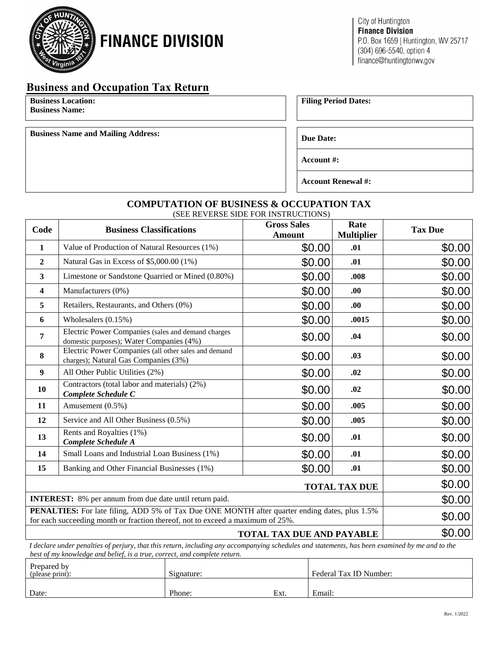

# **FINANCE DIVISION**

### **Business and Occupation Tax Return**

**Business Location: Business Name:**

**Business Name and Mailing Address: Due Date: Due Date: Due Date:** 

**Filing Period Dates:**

**Account #:** 

**Account Renewal #:** 

## **COMPUTATION OF BUSINESS & OCCUPATION TAX**

(SEE REVERSE SIDE FOR INSTRUCTIONS)

| Code                                                                                                                                                                            | <b>Business Classifications</b>                                                                | <b>Gross Sales</b><br><b>Amount</b> | Rate<br><b>Multiplier</b> | <b>Tax Due</b> |  |
|---------------------------------------------------------------------------------------------------------------------------------------------------------------------------------|------------------------------------------------------------------------------------------------|-------------------------------------|---------------------------|----------------|--|
| $\mathbf{1}$                                                                                                                                                                    | Value of Production of Natural Resources (1%)                                                  | \$0.00                              | .01                       | \$0.00         |  |
| $\overline{2}$                                                                                                                                                                  | Natural Gas in Excess of \$5,000.00 (1%)                                                       | \$0.00                              | .01                       | \$0.00         |  |
| 3                                                                                                                                                                               | Limestone or Sandstone Quarried or Mined (0.80%)                                               | \$0.00                              | .008                      | \$0.00         |  |
| 4                                                                                                                                                                               | Manufacturers (0%)                                                                             | \$0.00                              | .00.                      | \$0.00         |  |
| 5                                                                                                                                                                               | Retailers, Restaurants, and Others (0%)                                                        | \$0.00                              | .00.                      | \$0.00         |  |
| 6                                                                                                                                                                               | Wholesalers (0.15%)                                                                            | \$0.00                              | .0015                     | \$0.00         |  |
| 7                                                                                                                                                                               | Electric Power Companies (sales and demand charges<br>domestic purposes); Water Companies (4%) | \$0.00                              | .04                       | \$0.00         |  |
| 8                                                                                                                                                                               | Electric Power Companies (all other sales and demand<br>charges); Natural Gas Companies (3%)   | \$0.00                              | .03                       | \$0.00         |  |
| 9                                                                                                                                                                               | All Other Public Utilities (2%)                                                                | \$0.00                              | .02                       | \$0.00         |  |
| 10                                                                                                                                                                              | Contractors (total labor and materials) (2%)<br>Complete Schedule C                            | \$0.00                              | .02                       | \$0.00         |  |
| 11                                                                                                                                                                              | Amusement (0.5%)                                                                               | \$0.00                              | .005                      | \$0.00         |  |
| 12                                                                                                                                                                              | Service and All Other Business (0.5%)                                                          | \$0.00                              | .005                      | \$0.00         |  |
| 13                                                                                                                                                                              | Rents and Royalties (1%)<br>Complete Schedule A                                                | \$0.00                              | .01                       | \$0.00         |  |
| 14                                                                                                                                                                              | Small Loans and Industrial Loan Business (1%)                                                  | \$0.00                              | .01                       | \$0.00         |  |
| 15                                                                                                                                                                              | Banking and Other Financial Businesses (1%)                                                    | \$0.00                              | .01                       | \$0.00         |  |
|                                                                                                                                                                                 | \$0.00                                                                                         |                                     |                           |                |  |
| <b>INTEREST:</b> 8% per annum from due date until return paid.                                                                                                                  | \$0.00                                                                                         |                                     |                           |                |  |
| PENALTIES: For late filing, ADD 5% of Tax Due ONE MONTH after quarter ending dates, plus 1.5%<br>for each succeeding month or fraction thereof, not to exceed a maximum of 25%. | \$0.00                                                                                         |                                     |                           |                |  |
| <b>TOTAL TAX DUE AND PAYABLE</b>                                                                                                                                                |                                                                                                |                                     |                           | \$0.00         |  |
| I declare under penalties of perjury, that this return, including any accompanying schedules and statements, has been examined by me and to the                                 |                                                                                                |                                     |                           |                |  |

*best of my knowledge and belief, is a true, correct, and complete return.*

| Prepared by<br>( please print): | Signature: |      | Federal Tax ID Number: |
|---------------------------------|------------|------|------------------------|
| Date:                           | Phone:     | Ext. | Email:                 |